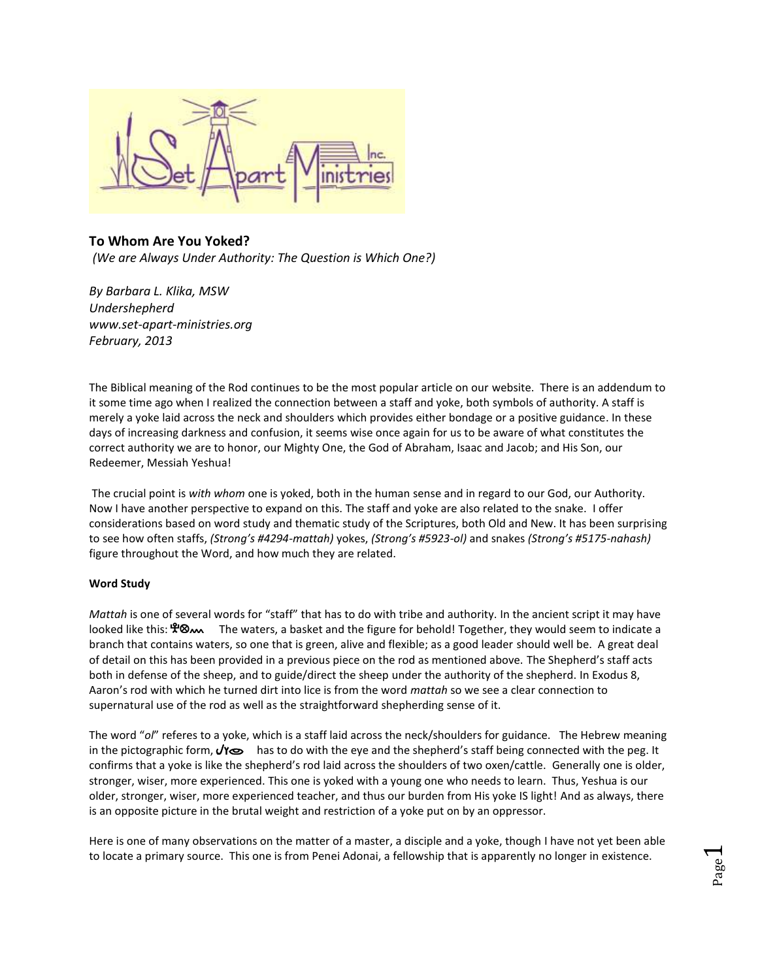

# **To Whom Are You Yoked?** *(We are Always Under Authority: The Question is Which One?)*

*By Barbara L. Klika, MSW Undershepherd www.set-apart-ministries.org February, 2013*

The Biblical meaning of the Rod continues to be the most popular article on our website. There is an addendum to it some time ago when I realized the connection between a staff and yoke, both symbols of authority. A staff is merely a yoke laid across the neck and shoulders which provides either bondage or a positive guidance. In these days of increasing darkness and confusion, it seems wise once again for us to be aware of what constitutes the correct authority we are to honor, our Mighty One, the God of Abraham, Isaac and Jacob; and His Son, our Redeemer, Messiah Yeshua!

The crucial point is *with whom* one is yoked, both in the human sense and in regard to our God, our Authority. Now I have another perspective to expand on this. The staff and yoke are also related to the snake. I offer considerations based on word study and thematic study of the Scriptures, both Old and New. It has been surprising to see how often staffs, *(Strong's #4294-mattah)* yokes, *(Strong's #5923-ol)* and snakes *(Strong's #5175-nahash)* figure throughout the Word, and how much they are related.

# **Word Study**

*Mattah* is one of several words for "staff" that has to do with tribe and authority. In the ancient script it may have looked like this:  $\mathcal{R}_{\infty}$  The waters, a basket and the figure for behold! Together, they would seem to indicate a branch that contains waters, so one that is green, alive and flexible; as a good leader should well be. A great deal of detail on this has been provided in a previous piece on the rod as mentioned above. The Shepherd's staff acts both in defense of the sheep, and to guide/direct the sheep under the authority of the shepherd. In Exodus 8, Aaron's rod with which he turned dirt into lice is from the word *mattah* so we see a clear connection to supernatural use of the rod as well as the straightforward shepherding sense of it.

The word "*ol*" referes to a yoke, which is a staff laid across the neck/shoulders for guidance. The Hebrew meaning in the pictographic form,  $\sqrt{r}$  has to do with the eye and the shepherd's staff being connected with the peg. It confirms that a yoke is like the shepherd's rod laid across the shoulders of two oxen/cattle. Generally one is older, stronger, wiser, more experienced. This one is yoked with a young one who needs to learn. Thus, Yeshua is our older, stronger, wiser, more experienced teacher, and thus our burden from His yoke IS light! And as always, there is an opposite picture in the brutal weight and restriction of a yoke put on by an oppressor.

Here is one of many observations on the matter of a master, a disciple and a yoke, though I have not yet been able to locate a primary source. This one is from Penei Adonai, a fellowship that is apparently no longer in existence.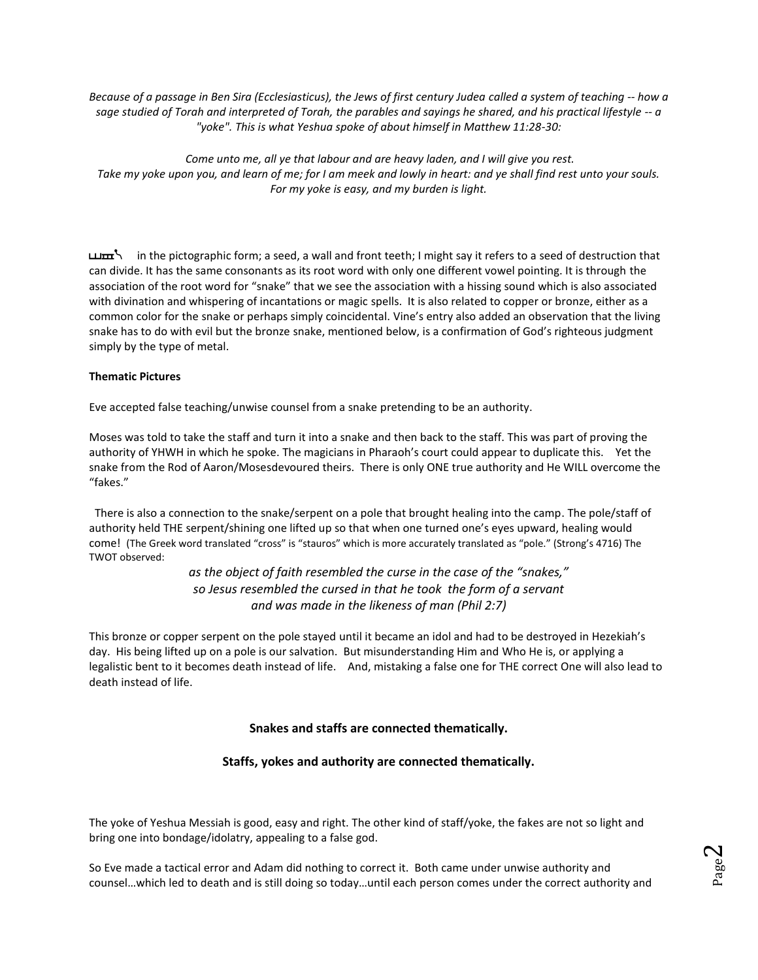*Because of a passage in Ben Sira (Ecclesiasticus), the Jews of first century Judea called a system of teaching -- how a sage studied of Torah and interpreted of Torah, the parables and sayings he shared, and his practical lifestyle -- a "yoke". This is what Yeshua spoke of about himself in Matthew 11:28-30:*

*Come unto me, all ye that labour and are heavy laden, and I will give you rest. Take my yoke upon you, and learn of me; for I am meek and lowly in heart: and ye shall find rest unto your souls. For my yoke is easy, and my burden is light.*

in the pictographic form; a seed, a wall and front teeth; I might say it refers to a seed of destruction that can divide. It has the same consonants as its root word with only one different vowel pointing. It is through the association of the root word for "snake" that we see the association with a hissing sound which is also associated with divination and whispering of incantations or magic spells. It is also related to copper or bronze, either as a common color for the snake or perhaps simply coincidental. Vine's entry also added an observation that the living snake has to do with evil but the bronze snake, mentioned below, is a confirmation of God's righteous judgment simply by the type of metal.

### **Thematic Pictures**

Eve accepted false teaching/unwise counsel from a snake pretending to be an authority.

Moses was told to take the staff and turn it into a snake and then back to the staff. This was part of proving the authority of YHWH in which he spoke. The magicians in Pharaoh's court could appear to duplicate this. Yet the snake from the Rod of Aaron/Mosesdevoured theirs. There is only ONE true authority and He WILL overcome the "fakes."

 There is also a connection to the snake/serpent on a pole that brought healing into the camp. The pole/staff of authority held THE serpent/shining one lifted up so that when one turned one's eyes upward, healing would come! (The Greek word translated "cross" is "stauros" which is more accurately translated as "pole." (Strong's 4716) The TWOT observed:

> *as the object of faith resembled the curse in the case of the "snakes," so Jesus resembled the cursed in that he took the form of a servant and was made in the likeness of man (Phil 2:7)*

This bronze or copper serpent on the pole stayed until it became an idol and had to be destroyed in Hezekiah's day. His being lifted up on a pole is our salvation. But misunderstanding Him and Who He is, or applying a legalistic bent to it becomes death instead of life. And, mistaking a false one for THE correct One will also lead to death instead of life.

# **Snakes and staffs are connected thematically.**

# **Staffs, yokes and authority are connected thematically.**

The yoke of Yeshua Messiah is good, easy and right. The other kind of staff/yoke, the fakes are not so light and bring one into bondage/idolatry, appealing to a false god.

So Eve made a tactical error and Adam did nothing to correct it. Both came under unwise authority and counsel…which led to death and is still doing so today…until each person comes under the correct authority and